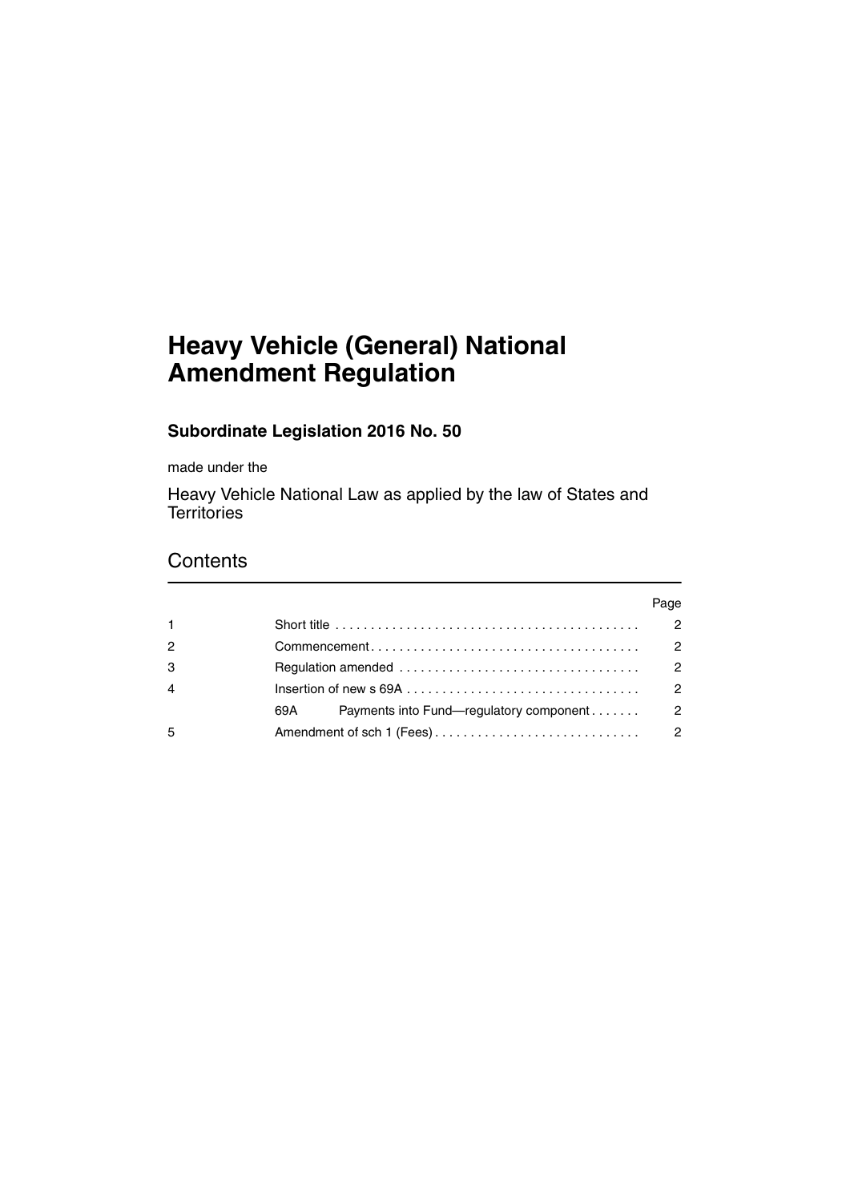# **Heavy Vehicle (General) National Amendment Regulation**

### **Subordinate Legislation 2016 No. 50**

made under the

Heavy Vehicle National Law as applied by the law of States and **Territories** 

## **Contents**

|                |                                                                                                          | Page          |
|----------------|----------------------------------------------------------------------------------------------------------|---------------|
| $\mathbf{1}$   | Short title $\ldots \ldots \ldots \ldots \ldots \ldots \ldots \ldots \ldots \ldots \ldots \ldots \ldots$ | $\mathcal{P}$ |
| $\overline{c}$ |                                                                                                          | $\mathcal{P}$ |
| 3              |                                                                                                          | $\mathcal{P}$ |
| $\overline{4}$ |                                                                                                          | $\mathcal{P}$ |
|                | Payments into Fund—regulatory component<br>69A - 1                                                       | $\mathcal{P}$ |
| 5              |                                                                                                          | $\mathcal{P}$ |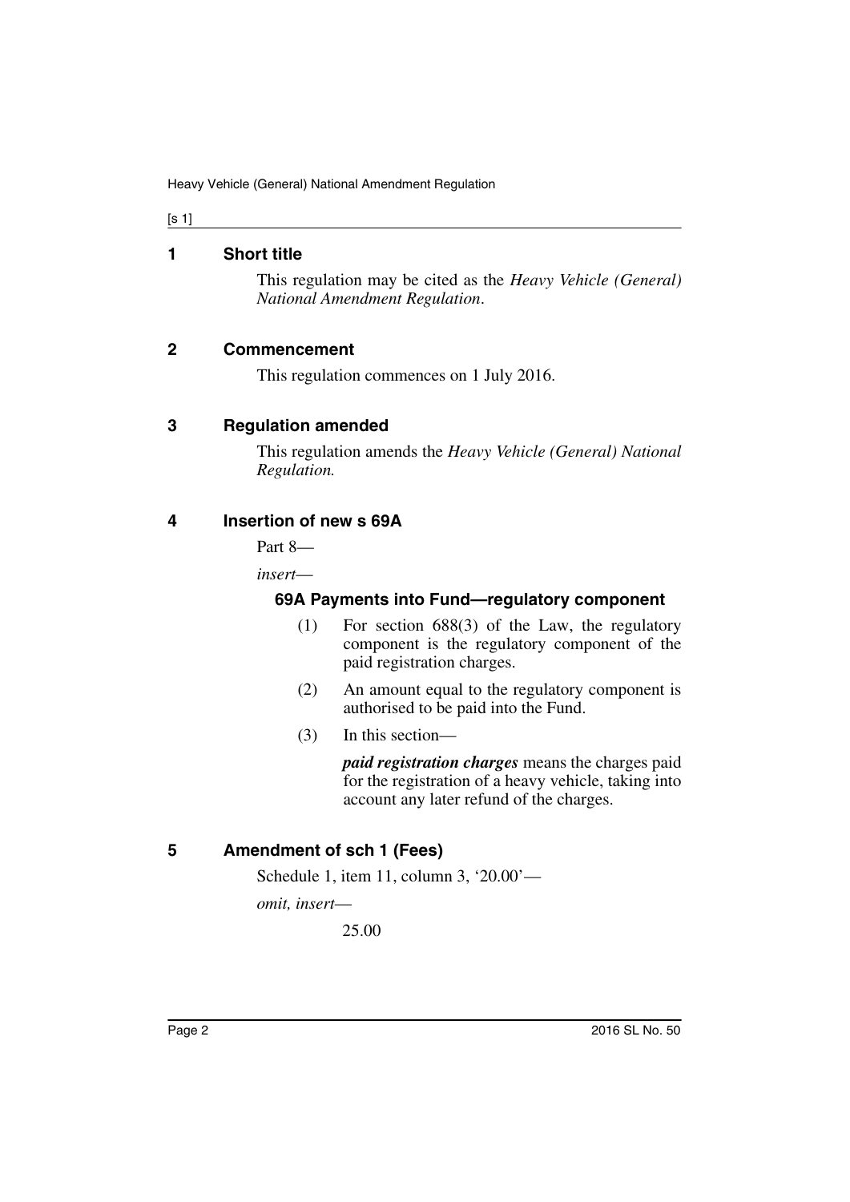#### [s 1]

#### <span id="page-1-0"></span>**1 Short title**

This regulation may be cited as the *Heavy Vehicle (General) National Amendment Regulation*.

#### <span id="page-1-1"></span>**2 Commencement**

This regulation commences on 1 July 2016.

#### <span id="page-1-2"></span>**3 Regulation amended**

This regulation amends the *Heavy Vehicle (General) National Regulation.*

#### <span id="page-1-4"></span><span id="page-1-3"></span>**4 Insertion of new s 69A**

Part 8—

*insert*—

#### **69A Payments into Fund—regulatory component**

- (1) For section 688(3) of the Law, the regulatory component is the regulatory component of the paid registration charges.
- (2) An amount equal to the regulatory component is authorised to be paid into the Fund.
- (3) In this section—

*paid registration charges* means the charges paid for the registration of a heavy vehicle, taking into account any later refund of the charges.

#### <span id="page-1-5"></span>**5 Amendment of sch 1 (Fees)**

Schedule 1, item 11, column 3, '20.00'—

*omit, insert*—

25.00